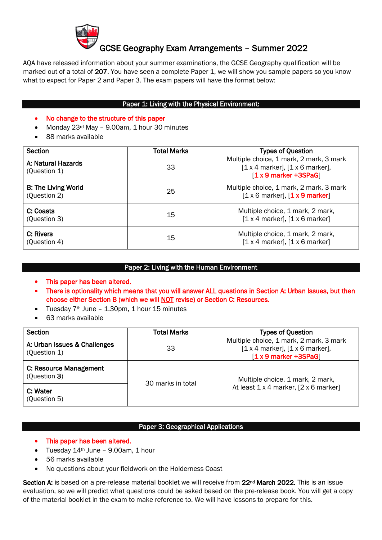

# GCSE Geography Exam Arrangements – Summer 2022

AQA have released information about your summer examinations, the GCSE Geography qualification will be marked out of a total of 207. You have seen a complete Paper 1, we will show you sample papers so you know what to expect for Paper 2 and Paper 3. The exam papers will have the format below:

## Paper 1: Living with the Physical Environment:

### • No change to the structure of this paper

- Monday 23<sup>rd</sup> May 9.00am, 1 hour 30 minutes
- 88 marks available

| <b>Section</b>                             | <b>Total Marks</b> | <b>Types of Question</b>                                                                                  |
|--------------------------------------------|--------------------|-----------------------------------------------------------------------------------------------------------|
| A: Natural Hazards<br>(Question 1)         | 33                 | Multiple choice, 1 mark, 2 mark, 3 mark<br>$[1 x 4$ marker], $[1 x 6$ marker],<br>$[1 x 9$ marker +3SPaG] |
| <b>B: The Living World</b><br>(Question 2) | 25                 | Multiple choice, 1 mark, 2 mark, 3 mark<br>$[1 \times 6$ marker], $[1 \times 9$ marker]                   |
| C: Coasts<br>(Question 3)                  | 15                 | Multiple choice, 1 mark, 2 mark,<br>$[1 x 4$ marker], $[1 x 6$ marker]                                    |
| C: Rivers<br>(Question 4)                  | 15                 | Multiple choice, 1 mark, 2 mark,<br>$[1 x 4$ marker], $[1 x 6$ marker]                                    |

## Paper 2: Living with the Human Environment

- This paper has been altered.
- There is optionality which means that you will answer ALL questions in Section A: Urban Issues, but then choose either Section B (which we will NOT revise) or Section C: Resources.
- Tuesday  $7<sup>th</sup>$  June 1.30pm, 1 hour 15 minutes
- 63 marks available

| Section                                      | <b>Total Marks</b> | <b>Types of Question</b>                                                                                  |
|----------------------------------------------|--------------------|-----------------------------------------------------------------------------------------------------------|
| A: Urban Issues & Challenges<br>(Question 1) | 33                 | Multiple choice, 1 mark, 2 mark, 3 mark<br>$[1 x 4$ marker], $[1 x 6$ marker],<br>$[1 x 9$ marker +3SPaG] |
| C: Resource Management<br>(Question 3)       | 30 marks in total  | Multiple choice, 1 mark, 2 mark,<br>At least 1 x 4 marker, [2 x 6 marker]                                 |
| C: Water<br>(Question 5)                     |                    |                                                                                                           |

#### Paper 3: Geographical Applications

- This paper has been altered.
- Tuesday  $14<sup>th</sup>$  June 9.00am, 1 hour
- 56 marks available
- No questions about your fieldwork on the Holderness Coast

Section A: is based on a pre-release material booklet we will receive from 22<sup>nd</sup> March 2022. This is an issue evaluation, so we will predict what questions could be asked based on the pre-release book. You will get a copy of the material booklet in the exam to make reference to. We will have lessons to prepare for this.